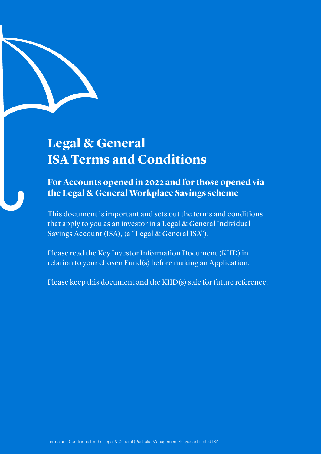# **Legal & General ISA Terms and Conditions**

**For Accounts opened in 2022 and for those opened via the Legal & General Workplace Savings scheme** 

This document is important and sets out the terms and conditions that apply to you as an investor in a Legal & General Individual Savings Account (ISA), (a "Legal & General ISA").

Please read the Key Investor Information Document (KIID) in relation to your chosen Fund(s) before making an Application.

Please keep this document and the KIID(s) safe for future reference.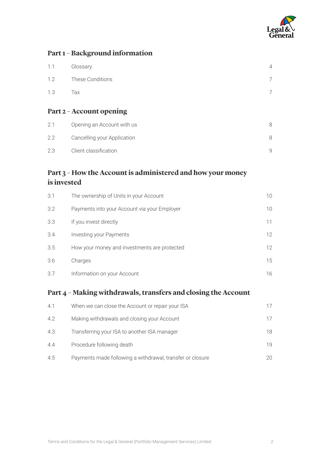

# **Part 1 – Background information**

| Part 2 - Account opening |                  |                |
|--------------------------|------------------|----------------|
| 1.3                      | Tax              |                |
| 1.2                      | These Conditions |                |
| 1.1                      | Glossary         | $\overline{4}$ |

| 2.1 | Opening an Account with us  |  |
|-----|-----------------------------|--|
| 2.2 | Cancelling your Application |  |
| 23  | Client classification       |  |

# **Part 3 – How the Account is administered and how your money is invested**

| 3.1 | The ownership of Units in your Account       | 10              |
|-----|----------------------------------------------|-----------------|
| 3.2 | Payments into your Account via your Employer | 10              |
| 3.3 | If you invest directly                       | 11              |
| 3.4 | Investing your Payments                      | 12 <sup>°</sup> |
| 3.5 | How your money and investments are protected | 12 <sup>°</sup> |
| 3.6 | Charges                                      | 15              |
| 3.7 | Information on your Account                  | 16              |

# **Part 4 – Making withdrawals, transfers and closing the Account**

| 4.1 | When we can close the Account or repair your ISA          | 17 |
|-----|-----------------------------------------------------------|----|
| 4.2 | Making withdrawals and closing your Account               | 17 |
| 4.3 | Transferring your ISA to another ISA manager              | 18 |
| 4.4 | Procedure following death                                 | 19 |
| 4.5 | Payments made following a withdrawal, transfer or closure | 20 |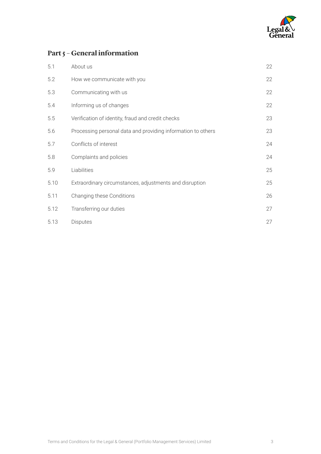

# **Part 5 – General information**

| 5.1  | About us                                                     | 22 |
|------|--------------------------------------------------------------|----|
| 5.2  | How we communicate with you                                  | 22 |
| 5.3  | Communicating with us                                        | 22 |
| 5.4  | Informing us of changes                                      | 22 |
| 5.5  | Verification of identity, fraud and credit checks            | 23 |
| 5.6  | Processing personal data and providing information to others | 23 |
| 5.7  | Conflicts of interest                                        | 24 |
| 5.8  | Complaints and policies                                      | 24 |
| 5.9  | Liabilities                                                  | 25 |
| 5.10 | Extraordinary circumstances, adjustments and disruption      | 25 |
| 5.11 | Changing these Conditions                                    | 26 |
| 5.12 | Transferring our duties                                      | 27 |
| 5.13 | <b>Disputes</b>                                              | 27 |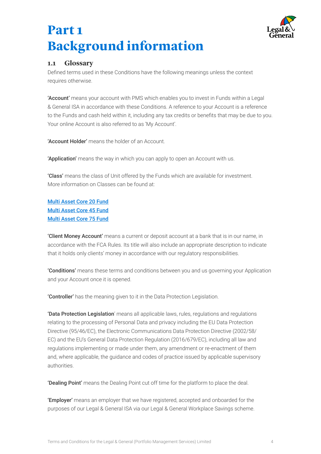

# <span id="page-3-0"></span>**Part 1 Background information**

## **1.1 Glossary**

 Defined terms used in these Conditions have the following meanings unless the context requires otherwise.

 to the Funds and cash held within it, including any tax credits or benefits that may be due to you. 'Account' means your account with PMS which enables you to invest in Funds within a Legal & General ISA in accordance with these Conditions. A reference to your Account is a reference Your online Account is also referred to as 'My Account'.

'Account Holder' means the holder of an Account.

'Application' means the way in which you can apply to open an Account with us.

'Class' means the class of Unit offered by the Funds which are available for investment. More information on Classes can be found at:

[Multi Asset Core 20 Fund](https://literature-lgim.huguenots.co.uk/srp/documents/?type=KIID&ISIN=GB00BKP4YB57) [Multi Asset Core 45 Fund](https://literature-lgim.huguenots.co.uk/srp/documents/?type=KIID&ISIN=GB00BJVL8N30) [Multi Asset Core 75 Fund](https://literature-lgim.huguenots.co.uk/srp/documents/?type=KIID&ISIN=GB00BJVL8Q60)

'Client Money Account' means a current or deposit account at a bank that is in our name, in accordance with the FCA Rules. Its title will also include an appropriate description to indicate that it holds only clients' money in accordance with our regulatory responsibilities.

'Conditions' means these terms and conditions between you and us governing your Application and your Account once it is opened.

'Controller' has the meaning given to it in the Data Protection Legislation.

 Directive (95/46/EC), the Electronic Communications Data Protection Directive (2002/58/ EC) and the EU's General Data Protection Regulation (2016/679/EC), including all law and 'Data Protection Legislation' means all applicable laws, rules, regulations and regulations relating to the processing of Personal Data and privacy including the EU Data Protection regulations implementing or made under them, any amendment or re-enactment of them and, where applicable, the guidance and codes of practice issued by applicable supervisory authorities.

'Dealing Point' means the Dealing Point cut off time for the platform to place the deal.

'Employer' means an employer that we have registered, accepted and onboarded for the purposes of our Legal & General ISA via our Legal & General Workplace Savings scheme.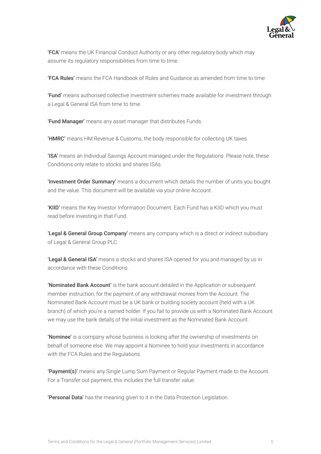

'FCA' means the UK Financial Conduct Authority or any other regulatory body which may assume its regulatory responsibilities from time to time.

'FCA Rules' means the FCA Handbook of Rules and Guidance as amended from time to time.

'Fund' means authorised collective investment schemes made available for investment through a Legal & General ISA from time to time.

'Fund Manager' means any asset manager that distributes Funds.

'HMRC' means HM Revenue & Customs, the body responsible for collecting UK taxes.

'ISA' means an Individual Savings Account managed under the Regulations. Please note, these Conditions only relate to stocks and shares ISAs.

'Investment Order Summary' means a document which details the number of units you bought and the value. This document will be available via your online Account.

'KIID' means the Key Investor Information Document. Each Fund has a KIID which you must read before investing in that Fund.

**Legal & General Group Company'** means any company which is a direct or indirect subsidiary of Legal & General Group PLC.

'Legal & General ISA' means a stocks and shares ISA opened for you and managed by us in accordance with these Conditions.

'Nominated Bank Account' is the bank account detailed in the Application or subsequent member instruction, for the payment of any withdrawal monies from the Account. The Nominated Bank Account must be a UK bank or building society account (held with a UK branch) of which you're a named holder. If you fail to provide us with a Nominated Bank Account we may use the bank details of the initial investment as the Nominated Bank Account.

'Nominee' is a company whose business is looking after the ownership of investments on behalf of someone else. We may appoint a Nominee to hold your investments in accordance with the FCA Rules and the Regulations.

'Payment(s)' means any Single Lump Sum Payment or Regular Payment made to the Account. For a Transfer out payment, this includes the full transfer value.

'Personal Data' has the meaning given to it in the Data Protection Legislation.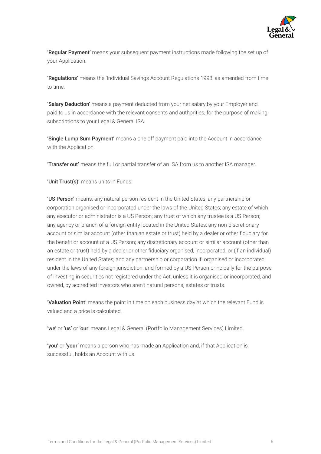

'Regular Payment' means your subsequent payment instructions made following the set up of your Application.

 'Regulations' means the 'Individual Savings Account Regulations 1998' as amended from time to time.

'Salary Deduction' means a payment deducted from your net salary by your Employer and paid to us in accordance with the relevant consents and authorities, for the purpose of making subscriptions to your Legal & General ISA.

'Single Lump Sum Payment' means a one off payment paid into the Account in accordance with the Application.

**Transfer out'** means the full or partial transfer of an ISA from us to another ISA manager.

'Unit Trust(s)' means units in Funds.

 account or similar account (other than an estate or trust) held by a dealer or other fiduciary for the benefit or account of a US Person; any discretionary account or similar account (other than an estate or trust) held by a dealer or other fiduciary organised, incorporated, or (if an individual) 'US Person' means: any natural person resident in the United States; any partnership or corporation organised or incorporated under the laws of the United States; any estate of which any executor or administrator is a US Person; any trust of which any trustee is a US Person; any agency or branch of a foreign entity located in the United States; any non-discretionary resident in the United States; and any partnership or corporation if: organised or incorporated under the laws of any foreign jurisdiction; and formed by a US Person principally for the purpose of investing in securities not registered under the Act, unless it is organised or incorporated, and owned, by accredited investors who aren't natural persons, estates or trusts.

'Valuation Point' means the point in time on each business day at which the relevant Fund is valued and a price is calculated.

'we' or 'us' or 'our' means Legal & General (Portfolio Management Services) Limited.

'you' or 'your' means a person who has made an Application and, if that Application is successful, holds an Account with us.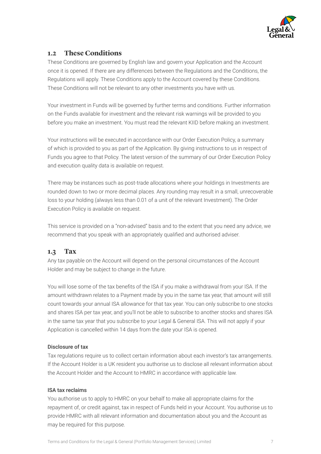

# <span id="page-6-0"></span>**1.2 These Conditions**

These Conditions are governed by English law and govern your Application and the Account once it is opened. If there are any differences between the Regulations and the Conditions, the Regulations will apply. These Conditions apply to the Account covered by these Conditions. These Conditions will not be relevant to any other investments you have with us.

Your investment in Funds will be governed by further terms and conditions. Further information on the Funds available for investment and the relevant risk warnings will be provided to you before you make an investment. You must read the relevant KIID before making an investment.

Your instructions will be executed in accordance with our Order Execution Policy, a summary of which is provided to you as part of the Application. By giving instructions to us in respect of Funds you agree to that Policy. The latest version of the summary of our Order Execution Policy and execution quality data is available on request.

There may be instances such as post-trade allocations where your holdings in Investments are rounded down to two or more decimal places. Any rounding may result in a small, unrecoverable loss to your holding (always less than 0.01 of a unit of the relevant Investment). The Order Execution Policy is available on request.

 recommend that you speak with an appropriately qualified and authorised adviser. This service is provided on a "non-advised" basis and to the extent that you need any advice, we

## **1.3 Tax**

Any tax payable on the Account will depend on the personal circumstances of the Account Holder and may be subject to change in the future.

 You will lose some of the tax benefits of the ISA if you make a withdrawal from your ISA. If the amount withdrawn relates to a Payment made by you in the same tax year, that amount will still count towards your annual ISA allowance for that tax year. You can only subscribe to one stocks and shares ISA per tax year, and you'll not be able to subscribe to another stocks and shares ISA in the same tax year that you subscribe to your Legal & General ISA. This will not apply if your Application is cancelled within 14 days from the date your ISA is opened.

### Disclosure of tax

Tax regulations require us to collect certain information about each investor's tax arrangements. If the Account Holder is a UK resident you authorise us to disclose all relevant information about the Account Holder and the Account to HMRC in accordance with applicable law.

### ISA tax reclaims

You authorise us to apply to HMRC on your behalf to make all appropriate claims for the repayment of, or credit against, tax in respect of Funds held in your Account. You authorise us to provide HMRC with all relevant information and documentation about you and the Account as may be required for this purpose.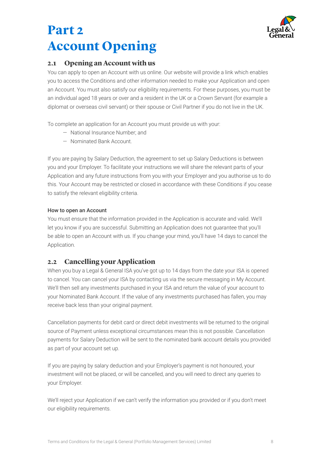

# <span id="page-7-0"></span>**Part 2 Account Opening**

# **2.1 Opening an Account with us**

You can apply to open an Account with us online. Our website will provide a link which enables you to access the Conditions and other information needed to make your Application and open an Account. You must also satisfy our eligibility requirements. For these purposes, you must be an individual aged 18 years or over and a resident in the UK or a Crown Servant (for example a diplomat or overseas civil servant) or their spouse or Civil Partner if you do not live in the UK.

To complete an application for an Account you must provide us with your:

- National Insurance Number; and
- Nominated Bank Account.

If you are paying by Salary Deduction, the agreement to set up Salary Deductions is between you and your Employer. To facilitate your instructions we will share the relevant parts of your Application and any future instructions from you with your Employer and you authorise us to do this. Your Account may be restricted or closed in accordance with these Conditions if you cease to satisfy the relevant eligibility criteria.

### How to open an Account

You must ensure that the information provided in the Application is accurate and valid. We'll let you know if you are successful. Submitting an Application does not guarantee that you'll be able to open an Account with us. If you change your mind, you'll have 14 days to cancel the Application.

# **2.2 Cancelling your Application**

When you buy a Legal & General ISA you've got up to 14 days from the date your ISA is opened to cancel. You can cancel your ISA by contacting us via the secure messaging in My Account. We'll then sell any investments purchased in your ISA and return the value of your account to your Nominated Bank Account. If the value of any investments purchased has fallen, you may receive back less than your original payment.

Cancellation payments for debit card or direct debit investments will be returned to the original source of Payment unless exceptional circumstances mean this is not possible. Cancellation payments for Salary Deduction will be sent to the nominated bank account details you provided as part of your account set up.

If you are paying by salary deduction and your Employer's payment is not honoured, your investment will not be placed, or will be cancelled, and you will need to direct any queries to your Employer.

We'll reject your Application if we can't verify the information you provided or if you don't meet our eligibility requirements.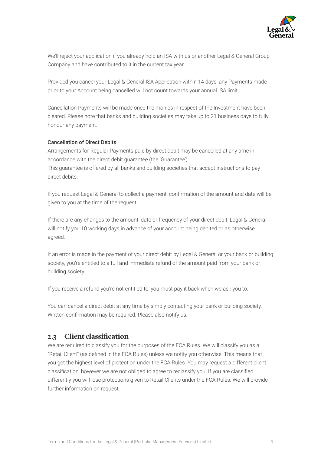

We'll reject your application if you already hold an ISA with us or another Legal & General Group Company and have contributed to it in the current tax year.

Provided you cancel your Legal & General ISA Application within 14 days, any Payments made prior to your Account being cancelled will not count towards your annual ISA limit.

Cancellation Payments will be made once the monies in respect of the Investment have been cleared. Please note that banks and building societies may take up to 21 business days to fully honour any payment.

#### Cancellation of Direct Debits

Arrangements for Regular Payments paid by direct debit may be cancelled at any time in accordance with the direct debit guarantee (the 'Guarantee'):

This guarantee is offered by all banks and building societies that accept instructions to pay direct debits.

 If you request Legal & General to collect a payment, confirmation of the amount and date will be given to you at the time of the request.

If there are any changes to the amount, date or frequency of your direct debit, Legal & General will notify you 10 working days in advance of your account being debited or as otherwise agreed.

If an error is made in the payment of your direct debit by Legal & General or your bank or building society, you're entitled to a full and immediate refund of the amount paid from your bank or building society.

If you receive a refund you're not entitled to, you must pay it back when we ask you to.

 Written confirmation may be required. Please also notify us. You can cancel a direct debit at any time by simply contacting your bank or building society.

## **2.3 Client classifcation**

 "Retail Client" (as defined in the FCA Rules) unless we notify you otherwise. This means that classification, however we are not obliged to agree to reclassify you. If you are classified We are required to classify you for the purposes of the FCA Rules. We will classify you as a you get the highest level of protection under the FCA Rules. You may request a different client differently you will lose protections given to Retail Clients under the FCA Rules. We will provide further information on request.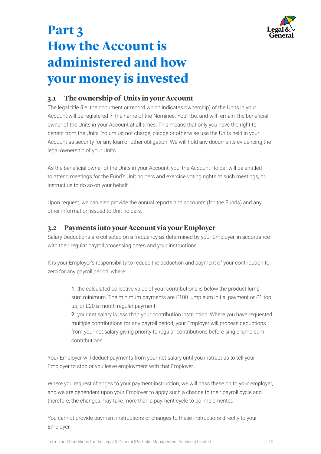

# <span id="page-9-0"></span>**Part 3 How the Account is administered and how your money is invested**

## **3.1 The ownership of Units in your Account**

 Account will be registered in the name of the Nominee. You'll be, and will remain, the beneficial benefit from the Units. You must not charge, pledge or otherwise use the Units held in your The legal title (i.e. the document or record which indicates ownership) of the Units in your owner of the Units in your Account at all times. This means that only you have the right to Account as security for any loan or other obligation. We will hold any documents evidencing the legal ownership of your Units.

 As the beneficial owner of the Units in your Account, you, the Account Holder will be entitled to attend meetings for the Fund's Unit holders and exercise voting rights at such meetings, or instruct us to do so on your behalf.

Upon request, we can also provide the annual reports and accounts (for the Funds) and any other information issued to Unit holders.

## **3.2 Payments into your Account via your Employer**

Salary Deductions are collected on a frequency as determined by your Employer, in accordance with their regular payroll processing dates and your instructions.

It is your Employer's responsibility to reduce the deduction and payment of your contribution to zero for any payroll period, where:

> 1. the calculated collective value of your contributions is below the product lump sum minimum. The minimum payments are £100 lump sum initial payment or £1 top up, or £20 a month regular payment;

> 2. your net salary is less than your contribution instruction. Where you have requested multiple contributions for any payroll period, your Employer will process deductions from your net salary giving priority to regular contributions before single lump sum contributions.

Your Employer will deduct payments from your net salary until you instruct us to tell your Employer to stop or you leave employment with that Employer.

Where you request changes to your payment instruction, we will pass these on to your employer, and we are dependent upon your Employer to apply such a change to their payroll cycle and therefore, the changes may take more than a payment cycle to be implemented.

You cannot provide payment instructions or changes to these instructions directly to your Employer.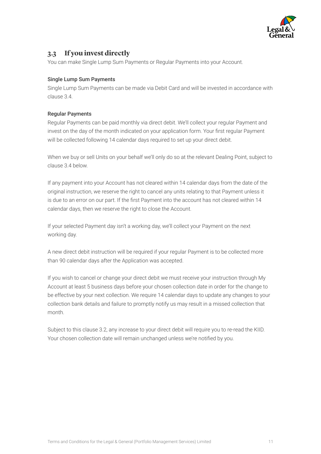

# <span id="page-10-0"></span>**3.3 If you invest directly**

You can make Single Lump Sum Payments or Regular Payments into your Account.

### Single Lump Sum Payments

Single Lump Sum Payments can be made via Debit Card and will be invested in accordance with clause 3.4.

### Regular Payments

 invest on the day of the month indicated on your application form. Your first regular Payment Regular Payments can be paid monthly via direct debit. We'll collect your regular Payment and will be collected following 14 calendar days required to set up your direct debit.

When we buy or sell Units on your behalf we'll only do so at the relevant Dealing Point, subject to clause 3.4 below.

 is due to an error on our part. If the first Payment into the account has not cleared within 14 If any payment into your Account has not cleared within 14 calendar days from the date of the original instruction, we reserve the right to cancel any units relating to that Payment unless it calendar days, then we reserve the right to close the Account.

If your selected Payment day isn't a working day, we'll collect your Payment on the next working day.

 than 90 calendar days after the Application was accepted. A new direct debit instruction will be required if your regular Payment is to be collected more

If you wish to cancel or change your direct debit we must receive your instruction through My Account at least 5 business days before your chosen collection date in order for the change to be effective by your next collection. We require 14 calendar days to update any changes to your collection bank details and failure to promptly notify us may result in a missed collection that month.

 Your chosen collection date will remain unchanged unless we're notified by you. Subject to this clause 3.2, any increase to your direct debit will require you to re-read the KIID.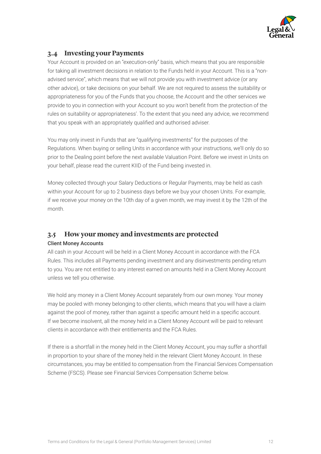

# **3.4 Investing your Payments**

 provide to you in connection with your Account so you won't benefit from the protection of the that you speak with an appropriately qualified and authorised adviser. Your Account is provided on an "execution-only" basis, which means that you are responsible for taking all investment decisions in relation to the Funds held in your Account. This is a "nonadvised service", which means that we will not provide you with investment advice (or any other advice), or take decisions on your behalf. We are not required to assess the suitability or appropriateness for you of the Funds that you choose, the Account and the other services we rules on suitability or appropriateness'. To the extent that you need any advice, we recommend

You may only invest in Funds that are "qualifying investments" for the purposes of the Regulations. When buying or selling Units in accordance with your instructions, we'll only do so prior to the Dealing point before the next available Valuation Point. Before we invest in Units on your behalf, please read the current KIID of the Fund being invested in.

Money collected through your Salary Deductions or Regular Payments, may be held as cash within your Account for up to 2 business days before we buy your chosen Units. For example, if we receive your money on the 10th day of a given month, we may invest it by the 12th of the month.

## **3.5 How your money and investments are protected**

### Client Money Accounts

All cash in your Account will be held in a Client Money Account in accordance with the FCA Rules. This includes all Payments pending investment and any disinvestments pending return to you. You are not entitled to any interest earned on amounts held in a Client Money Account unless we tell you otherwise.

 against the pool of money, rather than against a specific amount held in a specific account. We hold any money in a Client Money Account separately from our own money. Your money may be pooled with money belonging to other clients, which means that you will have a claim If we become insolvent, all the money held in a Client Money Account will be paid to relevant clients in accordance with their entitlements and the FCA Rules.

If there is a shortfall in the money held in the Client Money Account, you may suffer a shortfall in proportion to your share of the money held in the relevant Client Money Account. In these circumstances, you may be entitled to compensation from the Financial Services Compensation Scheme (FSCS). Please see Financial Services Compensation Scheme below.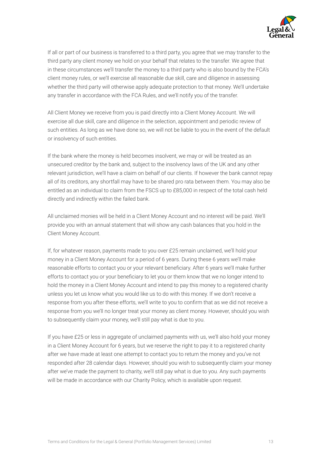

<span id="page-12-0"></span>If all or part of our business is transferred to a third party, you agree that we may transfer to the third party any client money we hold on your behalf that relates to the transfer. We agree that in these circumstances we'll transfer the money to a third party who is also bound by the FCA's client money rules, or we'll exercise all reasonable due skill, care and diligence in assessing whether the third party will otherwise apply adequate protection to that money. We'll undertake any transfer in accordance with the FCA Rules, and we'll notify you of the transfer.

All Client Money we receive from you is paid directly into a Client Money Account. We will exercise all due skill, care and diligence in the selection, appointment and periodic review of such entities. As long as we have done so, we will not be liable to you in the event of the default or insolvency of such entities.

If the bank where the money is held becomes insolvent, we may or will be treated as an unsecured creditor by the bank and, subject to the insolvency laws of the UK and any other relevant jurisdiction, we'll have a claim on behalf of our clients. If however the bank cannot repay all of its creditors, any shortfall may have to be shared pro rata between them. You may also be entitled as an individual to claim from the FSCS up to £85,000 in respect of the total cash held directly and indirectly within the failed bank.

All unclaimed monies will be held in a Client Money Account and no interest will be paid. We'll provide you with an annual statement that will show any cash balances that you hold in the Client Money Account.

 reasonable efforts to contact you or your relevant beneficiary. After 6 years we'll make further efforts to contact you or your beneficiary to let you or them know that we no longer intend to response from you after these efforts, we'll write to you to confirm that as we did not receive a If, for whatever reason, payments made to you over £25 remain unclaimed, we'll hold your money in a Client Money Account for a period of 6 years. During these 6 years we'll make hold the money in a Client Money Account and intend to pay this money to a registered charity unless you let us know what you would like us to do with this money. If we don't receive a response from you we'll no longer treat your money as client money. However, should you wish to subsequently claim your money, we'll still pay what is due to you.

If you have £25 or less in aggregate of unclaimed payments with us, we'll also hold your money in a Client Money Account for 6 years, but we reserve the right to pay it to a registered charity after we have made at least one attempt to contact you to return the money and you've not responded after 28 calendar days. However, should you wish to subsequently claim your money after we've made the payment to charity, we'll still pay what is due to you. Any such payments will be made in accordance with our Charity Policy, which is available upon request.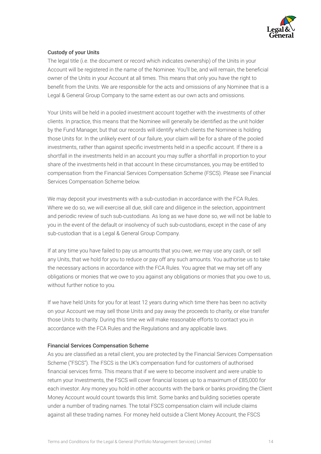

### Custody of your Units

 Account will be registered in the name of the Nominee. You'll be, and will remain, the beneficial benefit from the Units. We are responsible for the acts and omissions of any Nominee that is a The legal title (i.e. the document or record which indicates ownership) of the Units in your owner of the Units in your Account at all times. This means that only you have the right to Legal & General Group Company to the same extent as our own acts and omissions.

 clients. In practice, this means that the Nominee will generally be identified as the unit holder investments, rather than against specific investments held in a specific account. If there is a Your Units will be held in a pooled investment account together with the investments of other by the Fund Manager, but that our records will identify which clients the Nominee is holding those Units for. In the unlikely event of our failure, your claim will be for a share of the pooled shortfall in the investments held in an account you may suffer a shortfall in proportion to your share of the investments held in that account In these circumstances, you may be entitled to compensation from the Financial Services Compensation Scheme (FSCS). Please see Financial Services Compensation Scheme below.

We may deposit your investments with a sub-custodian in accordance with the FCA Rules. Where we do so, we will exercise all due, skill care and diligence in the selection, appointment and periodic review of such sub-custodians. As long as we have done so, we will not be liable to you in the event of the default or insolvency of such sub-custodians, except in the case of any sub-custodian that is a Legal & General Group Company.

If at any time you have failed to pay us amounts that you owe, we may use any cash, or sell any Units, that we hold for you to reduce or pay off any such amounts. You authorise us to take the necessary actions in accordance with the FCA Rules. You agree that we may set off any obligations or monies that we owe to you against any obligations or monies that you owe to us, without further notice to you.

If we have held Units for you for at least 12 years during which time there has been no activity on your Account we may sell those Units and pay away the proceeds to charity, or else transfer those Units to charity. During this time we will make reasonable efforts to contact you in accordance with the FCA Rules and the Regulations and any applicable laws.

#### Financial Services Compensation Scheme

 As you are classified as a retail client, you are protected by the Financial Services Compensation financial services firms. This means that if we were to become insolvent and were unable to return your Investments, the FSCS will cover financial losses up to a maximum of £85,000 for Scheme ("FSCS"). The FSCS is the UK's compensation fund for customers of authorised each investor. Any money you hold in other accounts with the bank or banks providing the Client Money Account would count towards this limit. Some banks and building societies operate under a number of trading names. The total FSCS compensation claim will include claims against all these trading names. For money held outside a Client Money Account, the FSCS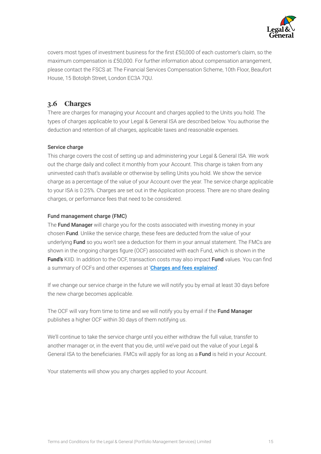

 covers most types of investment business for the first £50,000 of each customer's claim, so the maximum compensation is £50,000. For further information about compensation arrangement, please contact the FSCS at: The Financial Services Compensation Scheme, 10th Floor, Beaufort House, 15 Botolph Street, London EC3A 7QU.

# **3.6 Charges**

There are charges for managing your Account and charges applied to the Units you hold. The types of charges applicable to your Legal & General ISA are described below. You authorise the deduction and retention of all charges, applicable taxes and reasonable expenses.

### Service charge

This charge covers the cost of setting up and administering your Legal & General ISA. We work out the charge daily and collect it monthly from your Account. This charge is taken from any uninvested cash that's available or otherwise by selling Units you hold. We show the service charge as a percentage of the value of your Account over the year. The service charge applicable to your ISA is 0.25%. Charges are set out in the Application process. There are no share dealing charges, or performance fees that need to be considered.

### Fund management charge (FMC)

 shown in the ongoing charges figure (OCF) associated with each Fund, which is shown in the **Fund's** KIID. In addition to the OCF, transaction costs may also impact Fund values. You can find The Fund Manager will charge you for the costs associated with investing money in your chosen Fund. Unlike the service charge, these fees are deducted from the value of your underlying Fund so you won't see a deduction for them in your annual statement. The FMCs are a summary of OCFs and other expenses at '[Charges and fees explained](https://www.legalandgeneral.com/investments/prices-and-reports/charges-and-fees-explained/)'.

If we change our service charge in the future we will notify you by email at least 30 days before the new charge becomes applicable.

The OCF will vary from time to time and we will notify you by email if the Fund Manager publishes a higher OCF within 30 days of them notifying us.

General ISA to the beneficiaries. FMCs will apply for as long as a Fund is held in your Account. We'll continue to take the service charge until you either withdraw the full value, transfer to another manager or, in the event that you die, until we've paid out the value of your Legal &

Your statements will show you any charges applied to your Account.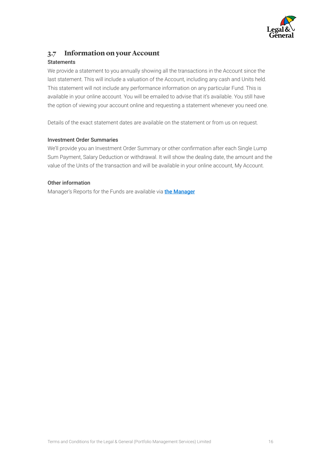

# **3.7 Information on your Account**

### **Statements**

We provide a statement to you annually showing all the transactions in the Account since the last statement. This will include a valuation of the Account, including any cash and Units held. This statement will not include any performance information on any particular Fund. This is available in your online account. You will be emailed to advise that it's available. You still have the option of viewing your account online and requesting a statement whenever you need one.

Details of the exact statement dates are available on the statement or from us on request.

### Investment Order Summaries

 We'll provide you an Investment Order Summary or other confirmation after each Single Lump Sum Payment, Salary Deduction or withdrawal. It will show the dealing date, the amount and the value of the Units of the transaction and will be available in your online account, My Account.

### Other information

Manager's Reports for the Funds are available via **the Manager**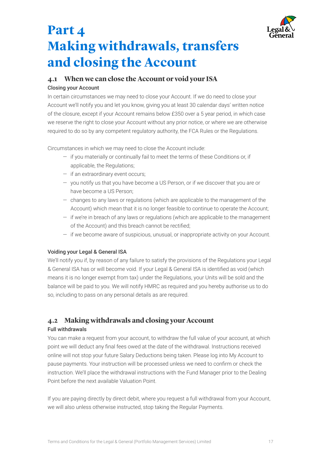

# <span id="page-16-0"></span>**Part 4 Making withdrawals, transfers and closing the Account**

# **4.1 When we can close the Account or void your ISA**  Closing your Account

In certain circumstances we may need to close your Account. If we do need to close your Account we'll notify you and let you know, giving you at least 30 calendar days' written notice of the closure, except if your Account remains below £350 over a 5 year period, in which case we reserve the right to close your Account without any prior notice, or where we are otherwise required to do so by any competent regulatory authority, the FCA Rules or the Regulations.

Circumstances in which we may need to close the Account include:

- if you materially or continually fail to meet the terms of these Conditions or, if applicable, the Regulations;
- if an extraordinary event occurs;
- you notify us that you have become a US Person, or if we discover that you are or have become a US Person;
- — changes to any laws or regulations (which are applicable to the management of the Account) which mean that it is no longer feasible to continue to operate the Account;
- of the Account) and this breach cannot be rectified; — if we're in breach of any laws or regulations (which are applicable to the management
- if we become aware of suspicious, unusual, or inappropriate activity on your Account.

### Voiding your Legal & General ISA

 & General ISA has or will become void. If your Legal & General ISA is identified as void (which We'll notify you if, by reason of any failure to satisfy the provisions of the Regulations your Legal means it is no longer exempt from tax) under the Regulations, your Units will be sold and the balance will be paid to you. We will notify HMRC as required and you hereby authorise us to do so, including to pass on any personal details as are required.

# **4.2 Making withdrawals and closing your Account**

### Full withdrawals

 point we will deduct any final fees owed at the date of the withdrawal. Instructions received pause payments. Your instruction will be processed unless we need to confirm or check the You can make a request from your account, to withdraw the full value of your account, at which online will not stop your future Salary Deductions being taken. Please log into My Account to instruction. We'll place the withdrawal instructions with the Fund Manager prior to the Dealing Point before the next available Valuation Point.

If you are paying directly by direct debit, where you request a full withdrawal from your Account, we will also unless otherwise instructed, stop taking the Regular Payments.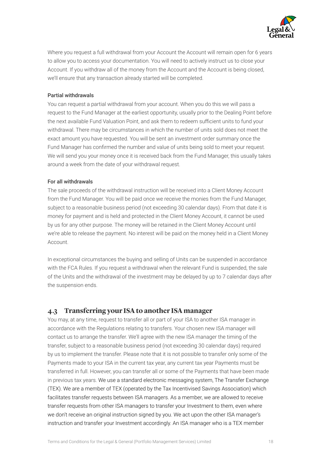

<span id="page-17-0"></span>Where you request a full withdrawal from your Account the Account will remain open for 6 years to allow you to access your documentation. You will need to actively instruct us to close your Account. If you withdraw all of the money from the Account and the Account is being closed, we'll ensure that any transaction already started will be completed.

### Partial withdrawals

 the next available Fund Valuation Point, and ask them to redeem sufficient units to fund your Fund Manager has confirmed the number and value of units being sold to meet your request. You can request a partial withdrawal from your account. When you do this we will pass a request to the Fund Manager at the earliest opportunity, usually prior to the Dealing Point before withdrawal. There may be circumstances in which the number of units sold does not meet the exact amount you have requested. You will be sent an investment order summary once the We will send you your money once it is received back from the Fund Manager, this usually takes around a week from the date of your withdrawal request.

#### For all withdrawals

The sale proceeds of the withdrawal instruction will be received into a Client Money Account from the Fund Manager. You will be paid once we receive the monies from the Fund Manager, subject to a reasonable business period (not exceeding 30 calendar days). From that date it is money for payment and is held and protected in the Client Money Account, it cannot be used by us for any other purpose. The money will be retained in the Client Money Account until we're able to release the payment. No interest will be paid on the money held in a Client Money Account.

In exceptional circumstances the buying and selling of Units can be suspended in accordance with the FCA Rules. If you request a withdrawal when the relevant Fund is suspended, the sale of the Units and the withdrawal of the investment may be delayed by up to 7 calendar days after the suspension ends.

## **4.3 Transferring your ISA to another ISA manager**

You may, at any time, request to transfer all or part of your ISA to another ISA manager in accordance with the Regulations relating to transfers. Your chosen new ISA manager will contact us to arrange the transfer. We'll agree with the new ISA manager the timing of the transfer, subject to a reasonable business period (not exceeding 30 calendar days) required by us to implement the transfer. Please note that it is not possible to transfer only some of the Payments made to your ISA in the current tax year, any current tax year Payments must be transferred in full. However, you can transfer all or some of the Payments that have been made in previous tax years. We use a standard electronic messaging system, The Transfer Exchange (TEX). We are a member of TEX (operated by the Tax Incentivised Savings Association) which facilitates transfer requests between ISA managers. As a member, we are allowed to receive transfer requests from other ISA managers to transfer your Investment to them, even where we don't receive an original instruction signed by you. We act upon the other ISA manager's instruction and transfer your Investment accordingly. An ISA manager who is a TEX member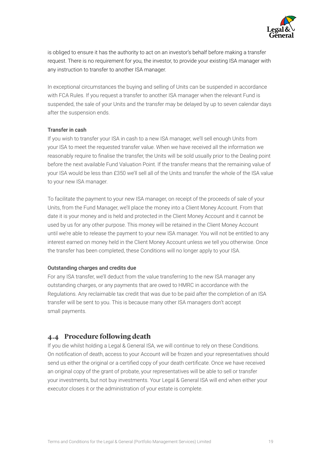

<span id="page-18-0"></span>is obliged to ensure it has the authority to act on an investor's behalf before making a transfer request. There is no requirement for you, the investor, to provide your existing ISA manager with any instruction to transfer to another ISA manager.

In exceptional circumstances the buying and selling of Units can be suspended in accordance with FCA Rules. If you request a transfer to another ISA manager when the relevant Fund is suspended, the sale of your Units and the transfer may be delayed by up to seven calendar days after the suspension ends.

#### Transfer in cash

 reasonably require to finalise the transfer, the Units will be sold usually prior to the Dealing point If you wish to transfer your ISA in cash to a new ISA manager, we'll sell enough Units from your ISA to meet the requested transfer value. When we have received all the information we before the next available Fund Valuation Point. If the transfer means that the remaining value of your ISA would be less than £350 we'll sell all of the Units and transfer the whole of the ISA value to your new ISA manager.

To facilitate the payment to your new ISA manager, on receipt of the proceeds of sale of your Units, from the Fund Manager, we'll place the money into a Client Money Account. From that date it is your money and is held and protected in the Client Money Account and it cannot be used by us for any other purpose. This money will be retained in the Client Money Account until we're able to release the payment to your new ISA manager. You will not be entitled to any interest earned on money held in the Client Money Account unless we tell you otherwise. Once the transfer has been completed, these Conditions will no longer apply to your ISA.

#### Outstanding charges and credits due

For any ISA transfer, we'll deduct from the value transferring to the new ISA manager any outstanding charges, or any payments that are owed to HMRC in accordance with the Regulations. Any reclaimable tax credit that was due to be paid after the completion of an ISA transfer will be sent to you. This is because many other ISA managers don't accept small payments.

## **4.4 Procedure following death**

 On notification of death, access to your Account will be frozen and your representatives should send us either the original or a certified copy of your death certificate. Once we have received If you die whilst holding a Legal & General ISA, we will continue to rely on these Conditions. an original copy of the grant of probate, your representatives will be able to sell or transfer your investments, but not buy investments. Your Legal & General ISA will end when either your executor closes it or the administration of your estate is complete.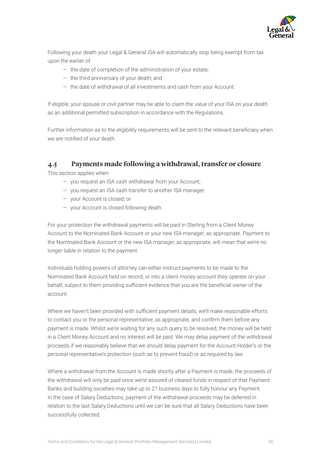

<span id="page-19-0"></span>Following your death your Legal & General ISA will automatically stop being exempt from tax upon the earlier of:

- the date of completion of the administration of your estate;
- the third anniversary of your death; and
- the date of withdrawal of all investments and cash from your Account.

If eligible, your spouse or civil partner may be able to claim the value of your ISA on your death as an additional permitted subscription in accordance with the Regulations.

 Further information as to the eligibility requirements will be sent to the relevant beneficiary when we are notified of your death.

## **4.5 Payments made following a withdrawal, transfer or closure**

This section applies when:

- you request an ISA cash withdrawal from your Account;
- you request an ISA cash transfer to another ISA manager;
- your Account is closed; or
- your Account is closed following death.

For your protection the withdrawal payments will be paid in Sterling from a Client Money Account to the Nominated Bank Account or your new ISA manager, as appropriate. Payment to the Nominated Bank Account or the new ISA manager, as appropriate, will mean that we're no longer liable in relation to the payment.

 behalf, subject to them providing sufficient evidence that you are the beneficial owner of the Individuals holding powers of attorney can either instruct payments to be made to the Nominated Bank Account held on record, or into a client money account they operate on your account.

 Where we haven't been provided with sufficient payment details, we'll make reasonable efforts to contact you or the personal representative, as appropriate, and confirm them before any payment is made. Whilst we're waiting for any such query to be resolved, the money will be held in a Client Money Account and no interest will be paid. We may delay payment of the withdrawal proceeds if we reasonably believe that we should delay payment for the Account Holder's or the personal representative's protection (such as to prevent fraud) or as required by law.

Where a withdrawal from the Account is made shortly after a Payment is made, the proceeds of the withdrawal will only be paid once we're assured of cleared funds in respect of that Payment. Banks and building societies may take up to 21 business days to fully honour any Payment. In the case of Salary Deductions, payment of the withdrawal proceeds may be deferred in relation to the last Salary Deductions until we can be sure that all Salary Deductions have been successfully collected.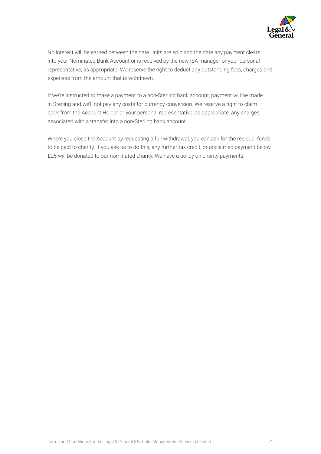

No interest will be earned between the date Units are sold and the date any payment clears into your Nominated Bank Account or is received by the new ISA manager or your personal representative, as appropriate. We reserve the right to deduct any outstanding fees, charges and expenses from the amount that is withdrawn.

If we're instructed to make a payment to a non-Sterling bank account, payment will be made in Sterling and we'll not pay any costs for currency conversion. We reserve a right to claim back from the Account Holder or your personal representative, as appropriate, any charges associated with a transfer into a non-Sterling bank account.

Where you close the Account by requesting a full withdrawal, you can ask for the residual funds to be paid to charity. If you ask us to do this, any further tax credit, or unclaimed payment below £25 will be donated to our nominated charity. We have a policy on charity payments.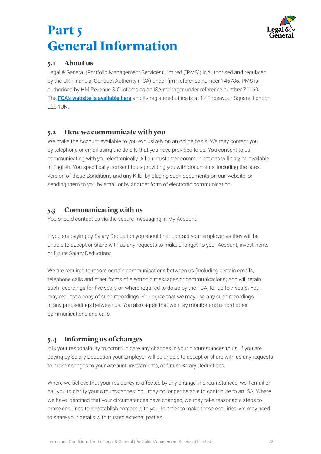

# <span id="page-21-0"></span>**Part 5 General Information**

## **5.1 About us**

 by the UK Financial Conduct Authority (FCA) under firm reference number 146786. PMS is The <mark>[FCA's website is available](http://www.fca.org.uk/) here</mark> and its registered office is at 12 Endeavour Square, London Legal & General (Portfolio Management Services) Limited ("PMS") is authorised and regulated authorised by HM Revenue & Customs as an ISA manager under reference number Z1160. E20 1JN.

# **5.2 How we communicate with you**

 in English. You specifically consent to us providing you with documents, including the latest We make the Account available to you exclusively on an online basis. We may contact you by telephone or email using the details that you have provided to us. You consent to us communicating with you electronically. All our customer communications will only be available version of these Conditions and any KIID, by placing such documents on our website, or sending them to you by email or by another form of electronic communication.

# **5.3 Communicating with us**

You should contact us via the secure messaging in My Account.

If you are paying by Salary Deduction you should not contact your employer as they will be unable to accept or share with us any requests to make changes to your Account, investments, or future Salary Deductions.

 such recordings for five years or, where required to do so by the FCA, for up to 7 years. You We are required to record certain communications between us (including certain emails, telephone calls and other forms of electronic messages or communications) and will retain may request a copy of such recordings. You agree that we may use any such recordings in any proceedings between us. You also agree that we may monitor and record other communications and calls.

# **5.4 Informing us of changes**

It is your responsibility to communicate any changes in your circumstances to us. If you are paying by Salary Deduction your Employer will be unable to accept or share with us any requests to make changes to your Account, investments, or future Salary Deductions.

 we have identified that your circumstances have changed, we may take reasonable steps to Where we believe that your residency is affected by any change in circumstances, we'll email or call you to clarify your circumstances. You may no longer be able to contribute to an ISA. Where make enquiries to re-establish contact with you. In order to make these enquiries, we may need to share your details with trusted external parties.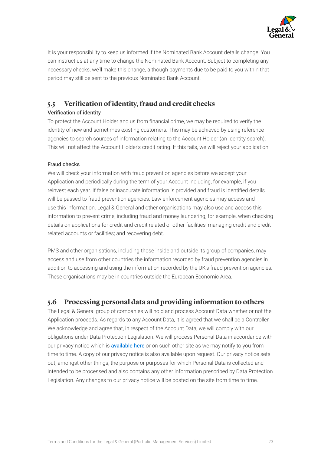

<span id="page-22-0"></span>It is your responsibility to keep us informed if the Nominated Bank Account details change. You can instruct us at any time to change the Nominated Bank Account. Subject to completing any necessary checks, we'll make this change, although payments due to be paid to you within that period may still be sent to the previous Nominated Bank Account.

# **5.5 Verifcation of identity, fraud and credit checks**

### Verification of identity

 To protect the Account Holder and us from financial crime, we may be required to verify the identity of new and sometimes existing customers. This may be achieved by using reference agencies to search sources of information relating to the Account Holder (an identity search). This will not affect the Account Holder's credit rating. If this fails, we will reject your application.

### Fraud checks

 reinvest each year. If false or inaccurate information is provided and fraud is identified details We will check your information with fraud prevention agencies before we accept your Application and periodically during the term of your Account including, for example, if you will be passed to fraud prevention agencies. Law enforcement agencies may access and use this information. Legal & General and other organisations may also use and access this information to prevent crime, including fraud and money laundering, for example, when checking details on applications for credit and credit related or other facilities, managing credit and credit related accounts or facilities; and recovering debt.

PMS and other organisations, including those inside and outside its group of companies, may access and use from other countries the information recorded by fraud prevention agencies in addition to accessing and using the information recorded by the UK's fraud prevention agencies. These organisations may be in countries outside the European Economic Area.

## **5.6 Processing personal data and providing information to others**

The Legal & General group of companies will hold and process Account Data whether or not the Application proceeds. As regards to any Account Data, it is agreed that we shall be a Controller. We acknowledge and agree that, in respect of the Account Data, we will comply with our obligations under Data Protection Legislation. We will process Personal Data in accordance with our privacy notice which is **[available here](https://www.legalandgeneral.com/privacy-policy)** or on such other site as we may notify to you from time to time. A copy of our privacy notice is also available upon request. Our privacy notice sets out, amongst other things, the purpose or purposes for which Personal Data is collected and intended to be processed and also contains any other information prescribed by Data Protection Legislation. Any changes to our privacy notice will be posted on the site from time to time.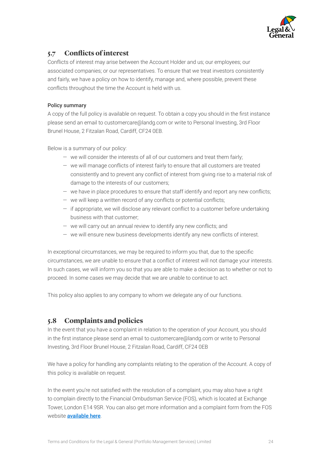

# <span id="page-23-0"></span>**5.7 Conficts of interest**

 Conflicts of interest may arise between the Account Holder and us; our employees; our conflicts throughout the time the Account is held with us. associated companies; or our representatives. To ensure that we treat investors consistently and fairly, we have a policy on how to identify, manage and, where possible, prevent these

### Policy summary

 A copy of the full policy is available on request. To obtain a copy you should in the first instance please send an email to [customercare@landg.com](mailto:customercare@landg.com) or write to Personal Investing, 3rd Floor Brunel House, 2 Fitzalan Road, Cardiff, CF24 0EB.

Below is a summary of our policy:

- we will consider the interests of all of our customers and treat them fairly;
- we will manage conflicts of interest fairly to ensure that all customers are treated consistently and to prevent any conflict of interest from giving rise to a material risk of damage to the interests of our customers;
- we have in place procedures to ensure that staff identify and report any new conflicts;
- we will keep a written record of any conflicts or potential conflicts;
- if appropriate, we will disclose any relevant conflict to a customer before undertaking business with that customer;
- we will carry out an annual review to identify any new conflicts; and
- we will ensure new business developments identify any new conflicts of interest.

 In exceptional circumstances, we may be required to inform you that, due to the specific circumstances, we are unable to ensure that a conflict of interest will not damage your interests. In such cases, we will inform you so that you are able to make a decision as to whether or not to proceed. In some cases we may decide that we are unable to continue to act.

This policy also applies to any company to whom we delegate any of our functions.

# **5.8 Complaints and policies**

 in the first instance please send an email to [customercare@landg.com](mailto:customercare@landg.com) or write to Personal In the event that you have a complaint in relation to the operation of your Account, you should Investing, 3rd Floor Brunel House, 2 Fitzalan Road, Cardiff, CF24 0EB

We have a policy for handling any complaints relating to the operation of the Account. A copy of this policy is available on request.

 In the event you're not satisfied with the resolution of a complaint, you may also have a right Tower, London E14 9SR. You can also get more information and a complaint form from the FOS to complain directly to the Financial Ombudsman Service (FOS), which is located at Exchange website **[available here](https://www.financial-ombudsman.org.uk.)**.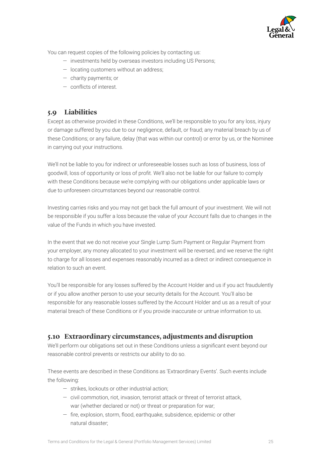

<span id="page-24-0"></span>You can request copies of the following policies by contacting us:

- investments held by overseas investors including US Persons;
- locating customers without an address;
- charity payments; or
- conflicts of interest.

## **5.9 Liabilities**

Except as otherwise provided in these Conditions, we'll be responsible to you for any loss, injury or damage suffered by you due to our negligence, default, or fraud; any material breach by us of these Conditions; or any failure, delay (that was within our control) or error by us, or the Nominee in carrying out your instructions.

 goodwill, loss of opportunity or loss of profit. We'll also not be liable for our failure to comply We'll not be liable to you for indirect or unforeseeable losses such as loss of business, loss of with these Conditions because we're complying with our obligations under applicable laws or due to unforeseen circumstances beyond our reasonable control.

Investing carries risks and you may not get back the full amount of your investment. We will not be responsible if you suffer a loss because the value of your Account falls due to changes in the value of the Funds in which you have invested.

In the event that we do not receive your Single Lump Sum Payment or Regular Payment from your employer, any money allocated to your investment will be reversed, and we reserve the right to charge for all losses and expenses reasonably incurred as a direct or indirect consequence in relation to such an event.

You'll be responsible for any losses suffered by the Account Holder and us if you act fraudulently or if you allow another person to use your security details for the Account. You'll also be responsible for any reasonable losses suffered by the Account Holder and us as a result of your material breach of these Conditions or if you provide inaccurate or untrue information to us.

## **5.10 Extraordinary circumstances, adjustments and disruption**

 We'll perform our obligations set out in these Conditions unless a significant event beyond our reasonable control prevents or restricts our ability to do so.

These events are described in these Conditions as 'Extraordinary Events'. Such events include the following:

- strikes, lockouts or other industrial action;
- civil commotion, riot, invasion, terrorist attack or threat of terrorist attack, war (whether declared or not) or threat or preparation for war;
- fire, explosion, storm, flood, earthquake, subsidence, epidemic or other natural disaster;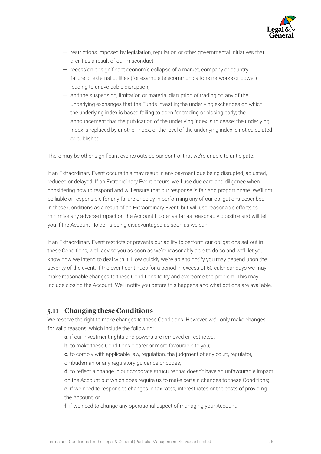

- restrictions imposed by legislation, regulation or other governmental initiatives that aren't as a result of our misconduct;
- recession or significant economic collapse of a market, company or country;
- failure of external utilities (for example telecommunications networks or power) leading to unavoidable disruption;
- $-$  and the suspension, limitation or material disruption of trading on any of the — and the suspension, limitation or material disruption of trading on any of the underlying exchanges that the Funds invest in; the underlying exchanges on which the underlying index is based failing to open for trading or closing early; the announcement that the publication of the underlying index is to cease; the underlying index is replaced by another index; or the level of the underlying index is not calculated or published.

 There may be other significant events outside our control that we're unable to anticipate.

If an Extraordinary Event occurs this may result in any payment due being disrupted, adjusted, reduced or delayed. If an Extraordinary Event occurs, we'll use due care and diligence when considering how to respond and will ensure that our response is fair and proportionate. We'll not be liable or responsible for any failure or delay in performing any of our obligations described in these Conditions as a result of an Extraordinary Event, but will use reasonable efforts to minimise any adverse impact on the Account Holder as far as reasonably possible and will tell you if the Account Holder is being disadvantaged as soon as we can.

If an Extraordinary Event restricts or prevents our ability to perform our obligations set out in these Conditions, we'll advise you as soon as we're reasonably able to do so and we'll let you know how we intend to deal with it. How quickly we're able to notify you may depend upon the severity of the event. If the event continues for a period in excess of 60 calendar days we may make reasonable changes to these Conditions to try and overcome the problem. This may include closing the Account. We'll notify you before this happens and what options are available.

## **5.11 Changing these Conditions**

We reserve the right to make changes to these Conditions. However, we'll only make changes for valid reasons, which include the following:

- a. if our investment rights and powers are removed or restricted;
- **b.** to make these Conditions clearer or more favourable to you;
- c. to comply with applicable law, regulation, the judgment of any court, regulator, ombudsman or any regulatory guidance or codes;

 d. to reflect a change in our corporate structure that doesn't have an unfavourable impact on the Account but which does require us to make certain changes to these Conditions;

e. if we need to respond to changes in tax rates, interest rates or the costs of providing the Account; or

f. if we need to change any operational aspect of managing your Account.